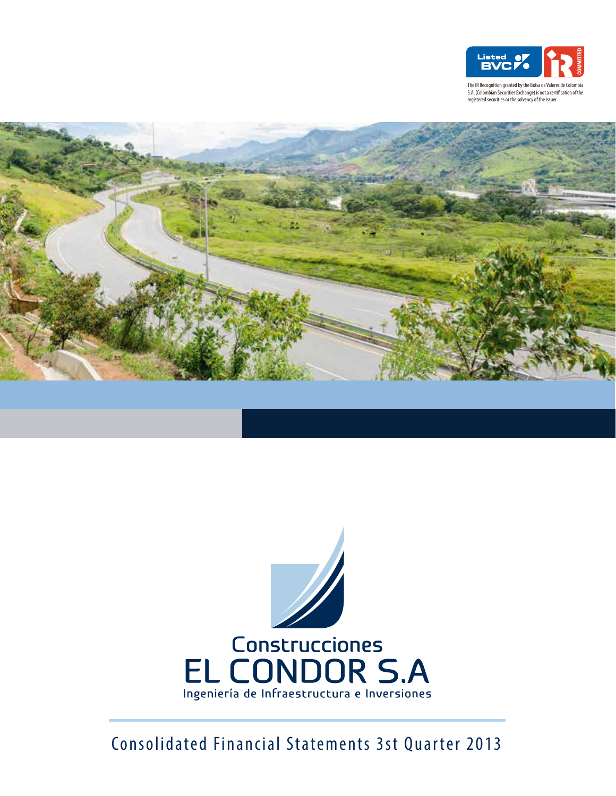

S.A. (Colombian Securities Exchange) is not a certification of the registered securities or the solvency of the issuer





Consolidated Financial Statements 3st Quarter 2013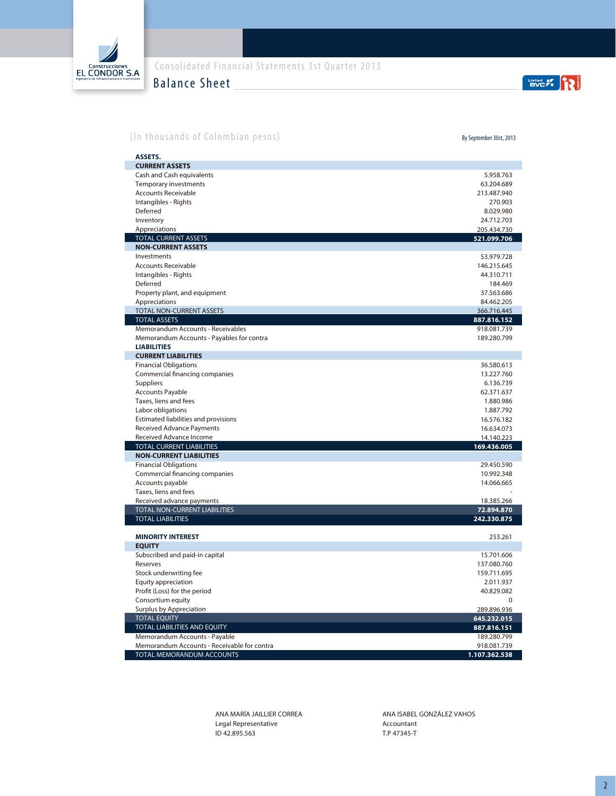

Balance Sheet

EVC 7.

## (In thousands of Colombian pesos)

By September 30st, 2013

| <b>ASSETS.</b>                                  |                            |
|-------------------------------------------------|----------------------------|
| <b>CURRENT ASSETS</b>                           |                            |
| Cash and Cash equivalents                       | 5.958.763                  |
| <b>Temporary investments</b>                    | 63.204.689                 |
| <b>Accounts Receivable</b>                      | 213.487.940                |
| Intangibles - Rights                            | 270.903                    |
| Deferred                                        | 8.029.980                  |
| Inventory                                       | 24.712.703                 |
| Appreciations                                   | 205.434.730                |
| <b>TOTAL CURRENT ASSETS</b>                     | 521.099.706                |
| <b>NON-CURRENT ASSETS</b>                       |                            |
| Investments                                     | 53.979.728                 |
| <b>Accounts Receivable</b>                      | 146.215.645                |
| Intangibles - Rights                            | 44.310.711                 |
| Deferred                                        | 184.469                    |
| Property plant, and equipment                   | 37.563.686                 |
| Appreciations                                   | 84.462.205                 |
| TOTAL NON-CURRENT ASSETS<br><b>TOTAL ASSETS</b> | 366.716.445                |
| Memorandum Accounts - Receivables               | 887.816.152<br>918.081.739 |
| Memorandum Accounts - Payables for contra       | 189.280.799                |
| <b>LIABILITIES</b>                              |                            |
| <b>CURRENT LIABILITIES</b>                      |                            |
| <b>Financial Obligations</b>                    | 36.580.613                 |
| Commercial financing companies                  | 13.227.760                 |
| Suppliers                                       | 6.136.739                  |
| <b>Accounts Payable</b>                         | 62.371.637                 |
| Taxes, liens and fees                           | 1.880.986                  |
| Labor obligations                               | 1.887.792                  |
| Estimated liabilities and provisions            | 16.576.182                 |
| Received Advance Payments                       | 16.634.073                 |
| Received Advance Income                         | 14.140.223                 |
| <b>TOTAL CURRENT LIABILITIES</b>                | 169.436.005                |
| <b>NON-CURRENT LIABILITIES</b>                  |                            |
| <b>Financial Obligations</b>                    | 29.450.590                 |
| Commercial financing companies                  | 10.992.348                 |
| Accounts payable                                | 14.066.665                 |
| Taxes, liens and fees                           |                            |
| Received advance payments                       | 18.385.266                 |
| <b>TOTAL NON-CURRENT LIABILITIES</b>            | 72.894.870                 |
| <b>TOTAL LIABILITIES</b>                        | 242.330.875                |
| <b>MINORITY INTEREST</b>                        | 253.261                    |
| <b>EQUITY</b>                                   |                            |
| Subscribed and paid-in capital                  | 15.701.606                 |
| Reserves                                        | 137.080.760                |
| Stock underwriting fee                          | 159.711.695                |
| Equity appreciation                             | 2.011.937                  |
| Profit (Loss) for the period                    | 40.829.082                 |
| Consortium equity                               | $\Omega$                   |
| Surplus by Appreciation                         | 289.896.936                |
| <b>TOTAL EQUITY</b>                             | 645.232.015                |
| TOTAL LIABILITIES AND EQUITY                    | 887.816.151                |
| Memorandum Accounts - Payable                   | 189.280.799                |
| Memorandum Accounts - Receivable for contra     | 918.081.739                |
| TOTAL MEMORANDUM ACCOUNTS                       | 1.107.362.538              |

ANA MARÍA JAILLIER CORREA Legal Representative ID 42.895.563

ANA ISABEL GONZÁLEZ VAHOS Accountant T.P 47345-T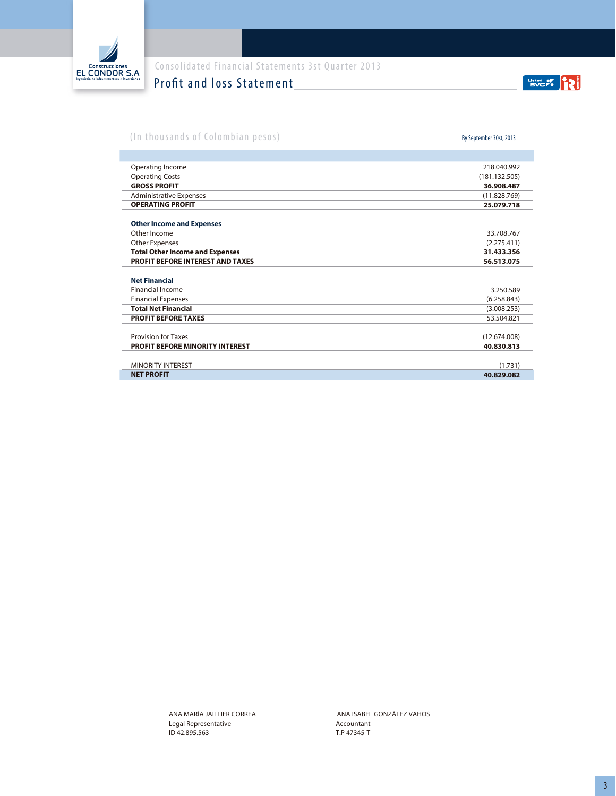

## Profit and loss Statement

EVC 7.

## (In thousands of Colombian pesos)

By September 30st, 2013

| Operating Income                        | 218.040.992   |
|-----------------------------------------|---------------|
| <b>Operating Costs</b>                  | (181.132.505) |
| <b>GROSS PROFIT</b>                     | 36.908.487    |
| <b>Administrative Expenses</b>          | (11.828.769)  |
| <b>OPERATING PROFIT</b>                 | 25.079.718    |
| <b>Other Income and Expenses</b>        |               |
| Other Income                            | 33.708.767    |
| <b>Other Expenses</b>                   | (2.275.411)   |
| <b>Total Other Income and Expenses</b>  | 31.433.356    |
| <b>PROFIT BEFORE INTEREST AND TAXES</b> | 56.513.075    |
| <b>Net Financial</b>                    |               |
| <b>Financial Income</b>                 | 3.250.589     |
| <b>Financial Expenses</b>               | (6.258.843)   |
| <b>Total Net Financial</b>              | (3.008.253)   |
| <b>PROFIT BEFORE TAXES</b>              | 53.504.821    |
| <b>Provision for Taxes</b>              | (12.674.008)  |
| <b>PROFIT BEFORE MINORITY INTEREST</b>  | 40.830.813    |
| <b>MINORITY INTEREST</b>                | (1.731)       |
| <b>NET PROFIT</b>                       | 40.829.082    |

ANA MARÍA JAILLIER CORREA Legal Representative ID 42.895.563

Accountant T.P 47345-T ANA ISABEL GONZÁLEZ VAHOS